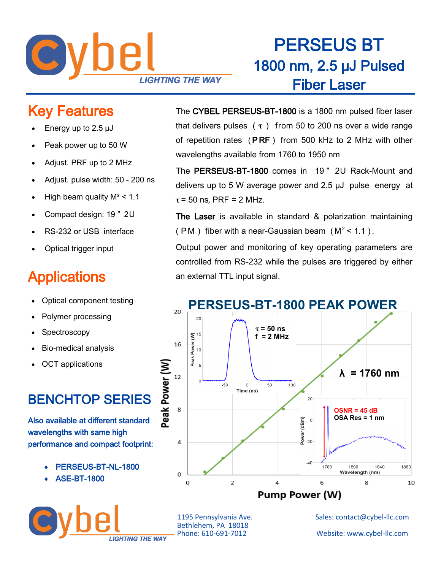

## PERSEUS BT 1800 nm, 2.5 μJ Pulsed Fiber Laser

#### Key Features

- Energy up to 2.5 μJ
- Peak power up to 50 W
- Adjust. PRF up to 2 MHz
- Adjust. pulse width: 50 200 ns
- High beam quality  $M^2$  < 1.1
- Compact design: 19 " 2U
- RS-232 or USB interface
- Optical trigger input

### **Applications**

- Optical component testing
- Polymer processing
- **Spectroscopy**
- Bio-medical analysis
- OCT applications

### BENCHTOP SERIES

Also available at different standard wavelengths with same high performance and compact footprint:

- PERSEUS-BT-NL-1800
- ASE-BT-1800



The CYBEL PERSEUS-BT-1800 is a 1800 nm pulsed fiber laser that delivers pulses ( **τ** ) from 50 to 200 ns over a wide range of repetition rates (PRF) from 500 kHz to 2 MHz with other wavelengths available from 1760 to 1950 nm

The PERSEUS-BT-1800 comes in 19 " 2U Rack-Mount and delivers up to 5 W average power and 2.5 μJ pulse energy at  $\tau$  = 50 ns, PRF = 2 MHz.

The Laser is available in standard & polarization maintaining ( PM) fiber with a near-Gaussian beam ( $M^2$  < 1.1).

Output power and monitoring of key operating parameters are controlled from RS-232 while the pulses are triggered by either an external TTL input signal.



Bethlehem, PA 18018

1195 Pennsylvania Ave. Sales: contact@cybel-llc.com Website: www.cybel-llc.com